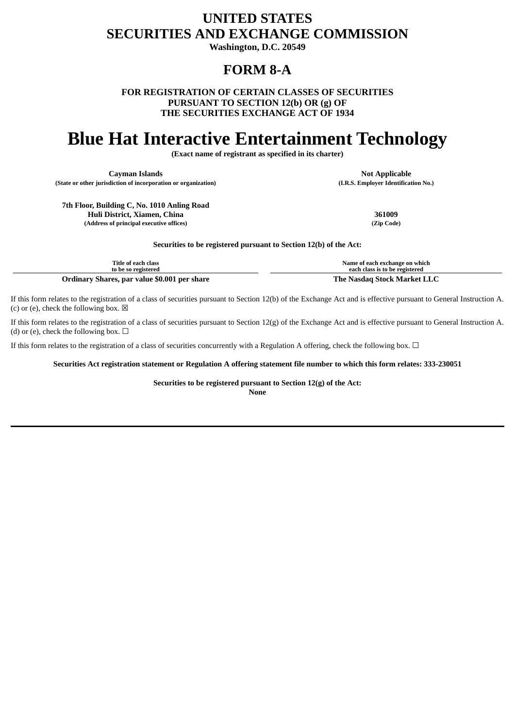## **UNITED STATES SECURITIES AND EXCHANGE COMMISSION**

**Washington, D.C. 20549**

## **FORM 8-A**

**FOR REGISTRATION OF CERTAIN CLASSES OF SECURITIES PURSUANT TO SECTION 12(b) OR (g) OF THE SECURITIES EXCHANGE ACT OF 1934**

# **Blue Hat Interactive Entertainment Technology**

**(Exact name of registrant as specified in its charter)**

**Cayman Islands Not Applicable Not Applicable** 

**(State or other jurisdiction of incorporation or organization) (I.R.S. Employer Identification No.)**

**7th Floor, Building C, No. 1010 Anling Road Huli District, Xiamen, China 361009 (Address of principal executive offices) (Zip Code)**

**Securities to be registered pursuant to Section 12(b) of the Act:**

| Title of each class                          | Name of each exchange on which |
|----------------------------------------------|--------------------------------|
| to be so registered                          | each class is to be registered |
| Ordinary Shares, par value \$0.001 per share | The Nasdag Stock Market LLC    |

If this form relates to the registration of a class of securities pursuant to Section 12(b) of the Exchange Act and is effective pursuant to General Instruction A. (c) or (e), check the following box.  $\boxtimes$ 

If this form relates to the registration of a class of securities pursuant to Section 12(g) of the Exchange Act and is effective pursuant to General Instruction A. (d) or (e), check the following box.  $\Box$ 

If this form relates to the registration of a class of securities concurrently with a Regulation A offering, check the following box.  $\Box$ 

Securities Act registration statement or Regulation A offering statement file number to which this form relates: 333-230051

**Securities to be registered pursuant to Section 12(g) of the Act: None**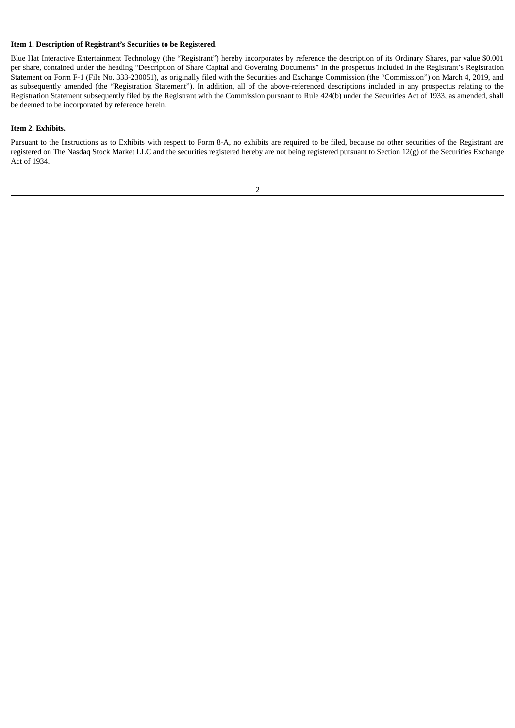#### **Item 1. Description of Registrant's Securities to be Registered.**

Blue Hat Interactive Entertainment Technology (the "Registrant") hereby incorporates by reference the description of its Ordinary Shares, par value \$0.001 per share, contained under the heading "Description of Share Capital and Governing Documents" in the prospectus included in the Registrant's Registration Statement on Form F-1 (File No. 333-230051), as originally filed with the Securities and Exchange Commission (the "Commission") on March 4, 2019, and as subsequently amended (the "Registration Statement"). In addition, all of the above-referenced descriptions included in any prospectus relating to the Registration Statement subsequently filed by the Registrant with the Commission pursuant to Rule 424(b) under the Securities Act of 1933, as amended, shall be deemed to be incorporated by reference herein.

#### **Item 2. Exhibits.**

Pursuant to the Instructions as to Exhibits with respect to Form 8-A, no exhibits are required to be filed, because no other securities of the Registrant are registered on The Nasdaq Stock Market LLC and the securities registered hereby are not being registered pursuant to Section 12(g) of the Securities Exchange Act of 1934.